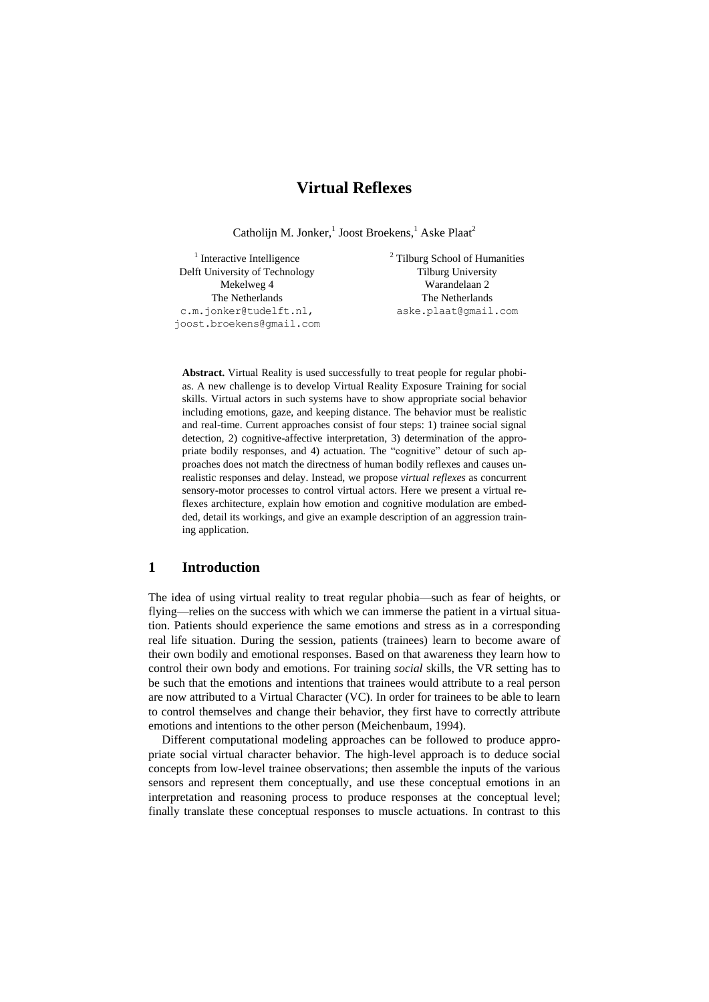# **Virtual Reflexes**

Catholijn M. Jonker,<sup>1</sup> Joost Broekens,<sup>1</sup> Aske Plaat<sup>2</sup>

<sup>1</sup> Interactive Intelligence Delft University of Technology Mekelweg 4 The Netherlands [c.m.jonker@tudelft.nl,](mailto:c.m.jonker@tudelft.nl) [joost.broekens@gmail.com](mailto:joost.broekens@gmail.com) <sup>2</sup> Tilburg School of Humanities Tilburg University Warandelaan 2 The Netherlands [aske.plaat@gmail.com](mailto:aske.plaat@gmail.com)

**Abstract.** Virtual Reality is used successfully to treat people for regular phobias. A new challenge is to develop Virtual Reality Exposure Training for social skills. Virtual actors in such systems have to show appropriate social behavior including emotions, gaze, and keeping distance. The behavior must be realistic and real-time. Current approaches consist of four steps: 1) trainee social signal detection, 2) cognitive-affective interpretation, 3) determination of the appropriate bodily responses, and 4) actuation. The "cognitive" detour of such approaches does not match the directness of human bodily reflexes and causes unrealistic responses and delay. Instead, we propose *virtual reflexes* as concurrent sensory-motor processes to control virtual actors. Here we present a virtual reflexes architecture, explain how emotion and cognitive modulation are embedded, detail its workings, and give an example description of an aggression training application.

### **1 Introduction**

The idea of using virtual reality to treat regular phobia—such as fear of heights, or flying—relies on the success with which we can immerse the patient in a virtual situation. Patients should experience the same emotions and stress as in a corresponding real life situation. During the session, patients (trainees) learn to become aware of their own bodily and emotional responses. Based on that awareness they learn how to control their own body and emotions. For training *social* skills, the VR setting has to be such that the emotions and intentions that trainees would attribute to a real person are now attributed to a Virtual Character (VC). In order for trainees to be able to learn to control themselves and change their behavior, they first have to correctly attribute emotions and intentions to the other person (Meichenbaum, 1994).

Different computational modeling approaches can be followed to produce appropriate social virtual character behavior. The high-level approach is to deduce social concepts from low-level trainee observations; then assemble the inputs of the various sensors and represent them conceptually, and use these conceptual emotions in an interpretation and reasoning process to produce responses at the conceptual level; finally translate these conceptual responses to muscle actuations. In contrast to this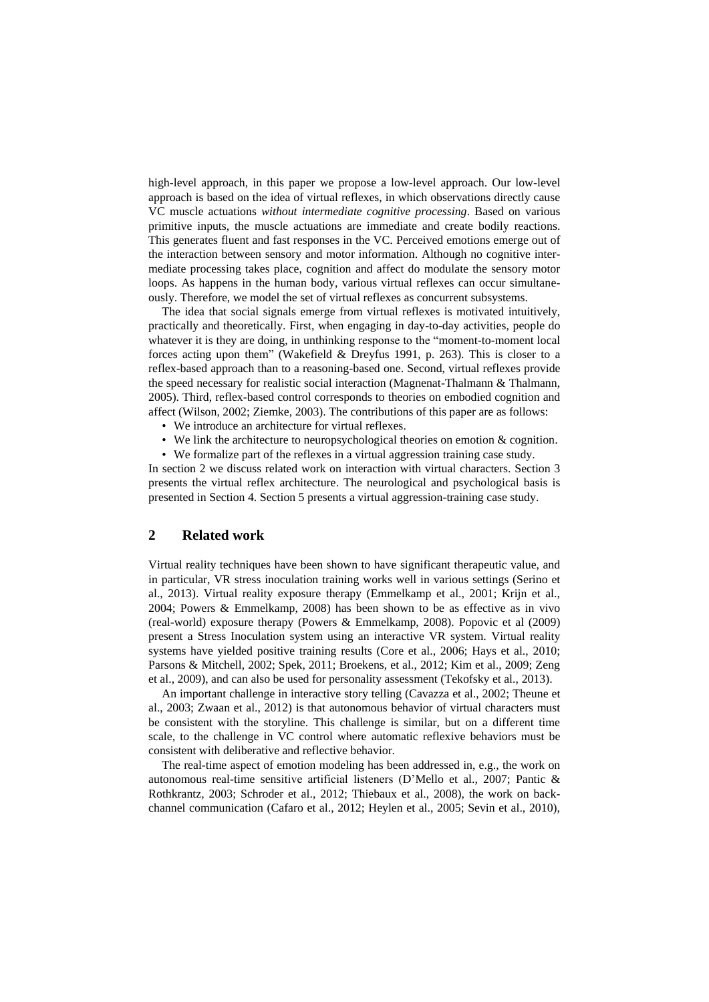high-level approach, in this paper we propose a low-level approach. Our low-level approach is based on the idea of virtual reflexes, in which observations directly cause VC muscle actuations *without intermediate cognitive processing*. Based on various primitive inputs, the muscle actuations are immediate and create bodily reactions. This generates fluent and fast responses in the VC. Perceived emotions emerge out of the interaction between sensory and motor information. Although no cognitive intermediate processing takes place, cognition and affect do modulate the sensory motor loops. As happens in the human body, various virtual reflexes can occur simultaneously. Therefore, we model the set of virtual reflexes as concurrent subsystems.

The idea that social signals emerge from virtual reflexes is motivated intuitively, practically and theoretically. First, when engaging in day-to-day activities, people do whatever it is they are doing, in unthinking response to the "moment-to-moment local forces acting upon them" (Wakefield & Dreyfus 1991, p. 263). This is closer to a reflex-based approach than to a reasoning-based one. Second, virtual reflexes provide the speed necessary for realistic social interaction (Magnenat-Thalmann & Thalmann, 2005). Third, reflex-based control corresponds to theories on embodied cognition and affect (Wilson, 2002; Ziemke, 2003). The contributions of this paper are as follows:

- We introduce an architecture for virtual reflexes.
- We link the architecture to neuropsychological theories on emotion & cognition.
- We formalize part of the reflexes in a virtual aggression training case study.

In section 2 we discuss related work on interaction with virtual characters. Section 3 presents the virtual reflex architecture. The neurological and psychological basis is presented in Section 4. Section 5 presents a virtual aggression-training case study.

### **2 Related work**

Virtual reality techniques have been shown to have significant therapeutic value, and in particular, VR stress inoculation training works well in various settings (Serino et al., 2013). Virtual reality exposure therapy (Emmelkamp et al., 2001; Krijn et al., 2004; Powers & Emmelkamp, 2008) has been shown to be as effective as in vivo (real-world) exposure therapy (Powers & Emmelkamp, 2008). Popovic et al (2009) present a Stress Inoculation system using an interactive VR system. Virtual reality systems have yielded positive training results (Core et al., 2006; Hays et al., 2010; Parsons & Mitchell, 2002; Spek, 2011; Broekens, et al., 2012; Kim et al., 2009; Zeng et al., 2009), and can also be used for personality assessment (Tekofsky et al., 2013).

An important challenge in interactive story telling (Cavazza et al., 2002; Theune et al., 2003; Zwaan et al., 2012) is that autonomous behavior of virtual characters must be consistent with the storyline. This challenge is similar, but on a different time scale, to the challenge in VC control where automatic reflexive behaviors must be consistent with deliberative and reflective behavior.

The real-time aspect of emotion modeling has been addressed in, e.g., the work on autonomous real-time sensitive artificial listeners (D'Mello et al., 2007; Pantic & Rothkrantz, 2003; Schroder et al., 2012; Thiebaux et al., 2008), the work on backchannel communication (Cafaro et al., 2012; Heylen et al., 2005; Sevin et al., 2010),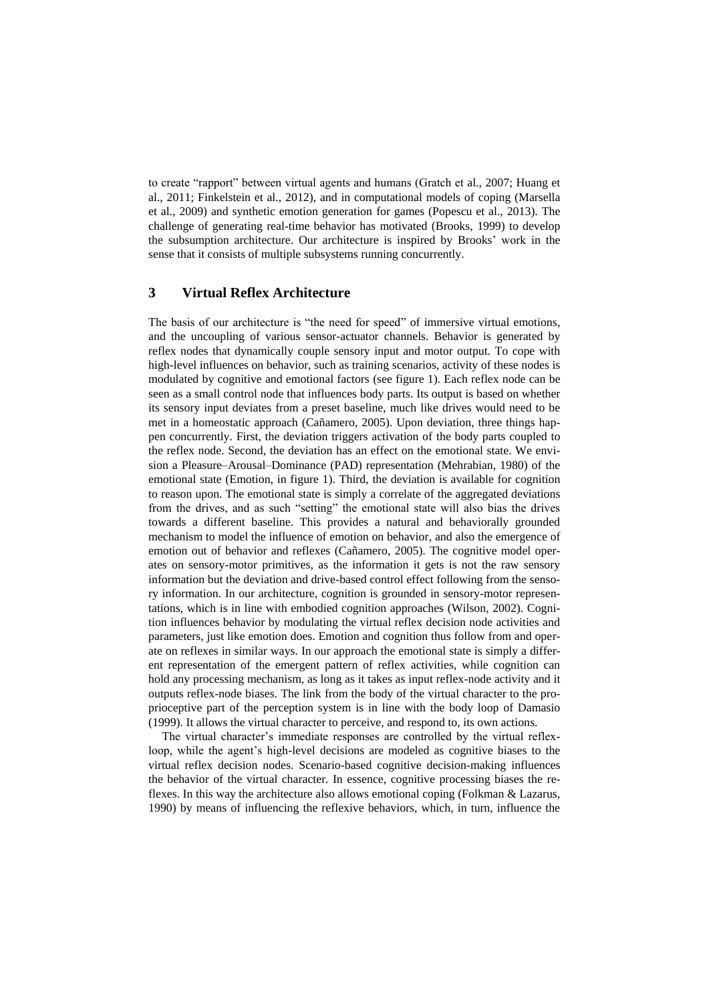to create "rapport" between virtual agents and humans (Gratch et al., 2007; Huang et al., 2011; Finkelstein et al., 2012), and in computational models of coping (Marsella et al., 2009) and synthetic emotion generation for games (Popescu et al., 2013). The challenge of generating real-time behavior has motivated (Brooks, 1999) to develop the subsumption architecture. Our architecture is inspired by Brooks' work in the sense that it consists of multiple subsystems running concurrently.

## **3 Virtual Reflex Architecture**

The basis of our architecture is "the need for speed" of immersive virtual emotions, and the uncoupling of various sensor-actuator channels. Behavior is generated by reflex nodes that dynamically couple sensory input and motor output. To cope with high-level influences on behavior, such as training scenarios, activity of these nodes is modulated by cognitive and emotional factors (see figure 1). Each reflex node can be seen as a small control node that influences body parts. Its output is based on whether its sensory input deviates from a preset baseline, much like drives would need to be met in a homeostatic approach (Cañamero, 2005). Upon deviation, three things happen concurrently. First, the deviation triggers activation of the body parts coupled to the reflex node. Second, the deviation has an effect on the emotional state. We envision a Pleasure–Arousal–Dominance (PAD) representation (Mehrabian, 1980) of the emotional state (Emotion, in figure 1). Third, the deviation is available for cognition to reason upon. The emotional state is simply a correlate of the aggregated deviations from the drives, and as such "setting" the emotional state will also bias the drives towards a different baseline. This provides a natural and behaviorally grounded mechanism to model the influence of emotion on behavior, and also the emergence of emotion out of behavior and reflexes (Cañamero, 2005). The cognitive model operates on sensory-motor primitives, as the information it gets is not the raw sensory information but the deviation and drive-based control effect following from the sensory information. In our architecture, cognition is grounded in sensory-motor representations, which is in line with embodied cognition approaches (Wilson, 2002). Cognition influences behavior by modulating the virtual reflex decision node activities and parameters, just like emotion does. Emotion and cognition thus follow from and operate on reflexes in similar ways. In our approach the emotional state is simply a different representation of the emergent pattern of reflex activities, while cognition can hold any processing mechanism, as long as it takes as input reflex-node activity and it outputs reflex-node biases. The link from the body of the virtual character to the proprioceptive part of the perception system is in line with the body loop of Damasio (1999). It allows the virtual character to perceive, and respond to, its own actions.

The virtual character's immediate responses are controlled by the virtual reflexloop, while the agent's high-level decisions are modeled as cognitive biases to the virtual reflex decision nodes. Scenario-based cognitive decision-making influences the behavior of the virtual character. In essence, cognitive processing biases the reflexes. In this way the architecture also allows emotional coping (Folkman & Lazarus, 1990) by means of influencing the reflexive behaviors, which, in turn, influence the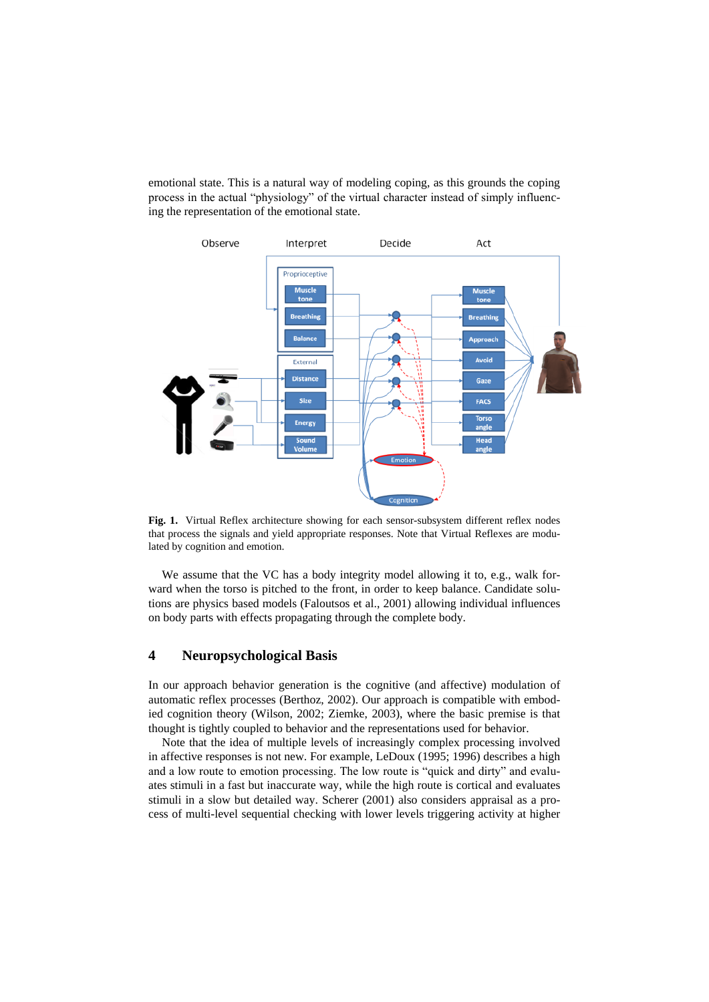emotional state. This is a natural way of modeling coping, as this grounds the coping process in the actual "physiology" of the virtual character instead of simply influencing the representation of the emotional state.



**Fig. 1.** Virtual Reflex architecture showing for each sensor-subsystem different reflex nodes that process the signals and yield appropriate responses. Note that Virtual Reflexes are modulated by cognition and emotion.

We assume that the VC has a body integrity model allowing it to, e.g., walk forward when the torso is pitched to the front, in order to keep balance. Candidate solutions are physics based models (Faloutsos et al., 2001) allowing individual influences on body parts with effects propagating through the complete body.

#### **4 Neuropsychological Basis**

In our approach behavior generation is the cognitive (and affective) modulation of automatic reflex processes (Berthoz, 2002). Our approach is compatible with embodied cognition theory (Wilson, 2002; Ziemke, 2003), where the basic premise is that thought is tightly coupled to behavior and the representations used for behavior.

Note that the idea of multiple levels of increasingly complex processing involved in affective responses is not new. For example, LeDoux (1995; 1996) describes a high and a low route to emotion processing. The low route is "quick and dirty" and evaluates stimuli in a fast but inaccurate way, while the high route is cortical and evaluates stimuli in a slow but detailed way. Scherer (2001) also considers appraisal as a process of multi-level sequential checking with lower levels triggering activity at higher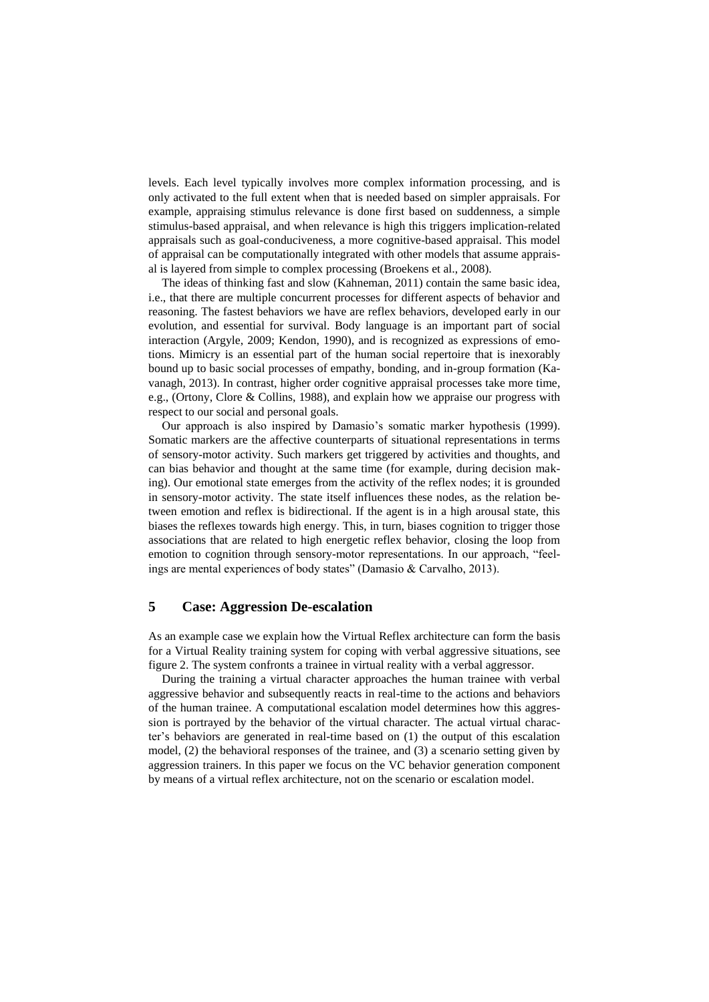levels. Each level typically involves more complex information processing, and is only activated to the full extent when that is needed based on simpler appraisals. For example, appraising stimulus relevance is done first based on suddenness, a simple stimulus-based appraisal, and when relevance is high this triggers implication-related appraisals such as goal-conduciveness, a more cognitive-based appraisal. This model of appraisal can be computationally integrated with other models that assume appraisal is layered from simple to complex processing (Broekens et al., 2008).

The ideas of thinking fast and slow (Kahneman, 2011) contain the same basic idea, i.e., that there are multiple concurrent processes for different aspects of behavior and reasoning. The fastest behaviors we have are reflex behaviors, developed early in our evolution, and essential for survival. Body language is an important part of social interaction (Argyle, 2009; Kendon, 1990), and is recognized as expressions of emotions. Mimicry is an essential part of the human social repertoire that is inexorably bound up to basic social processes of empathy, bonding, and in-group formation (Kavanagh, 2013). In contrast, higher order cognitive appraisal processes take more time, e.g., (Ortony, Clore & Collins, 1988), and explain how we appraise our progress with respect to our social and personal goals.

Our approach is also inspired by Damasio's somatic marker hypothesis (1999). Somatic markers are the affective counterparts of situational representations in terms of sensory-motor activity. Such markers get triggered by activities and thoughts, and can bias behavior and thought at the same time (for example, during decision making). Our emotional state emerges from the activity of the reflex nodes; it is grounded in sensory-motor activity. The state itself influences these nodes, as the relation between emotion and reflex is bidirectional. If the agent is in a high arousal state, this biases the reflexes towards high energy. This, in turn, biases cognition to trigger those associations that are related to high energetic reflex behavior, closing the loop from emotion to cognition through sensory-motor representations. In our approach, "feelings are mental experiences of body states" (Damasio & Carvalho, 2013).

## **5 Case: Aggression De-escalation**

As an example case we explain how the Virtual Reflex architecture can form the basis for a Virtual Reality training system for coping with verbal aggressive situations, see figure 2. The system confronts a trainee in virtual reality with a verbal aggressor.

During the training a virtual character approaches the human trainee with verbal aggressive behavior and subsequently reacts in real-time to the actions and behaviors of the human trainee. A computational escalation model determines how this aggression is portrayed by the behavior of the virtual character. The actual virtual character's behaviors are generated in real-time based on (1) the output of this escalation model, (2) the behavioral responses of the trainee, and (3) a scenario setting given by aggression trainers. In this paper we focus on the VC behavior generation component by means of a virtual reflex architecture, not on the scenario or escalation model.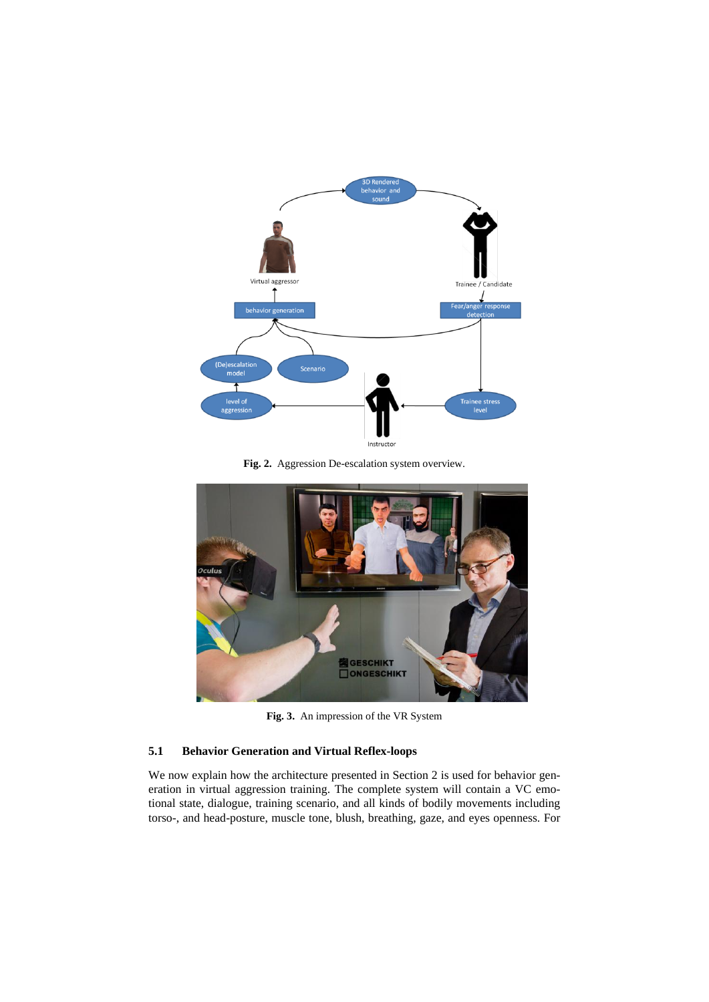

**Fig. 2.** Aggression De-escalation system overview.



**Fig. 3.** An impression of the VR System

#### **5.1 Behavior Generation and Virtual Reflex-loops**

We now explain how the architecture presented in Section 2 is used for behavior generation in virtual aggression training. The complete system will contain a VC emotional state, dialogue, training scenario, and all kinds of bodily movements including torso-, and head-posture, muscle tone, blush, breathing, gaze, and eyes openness. For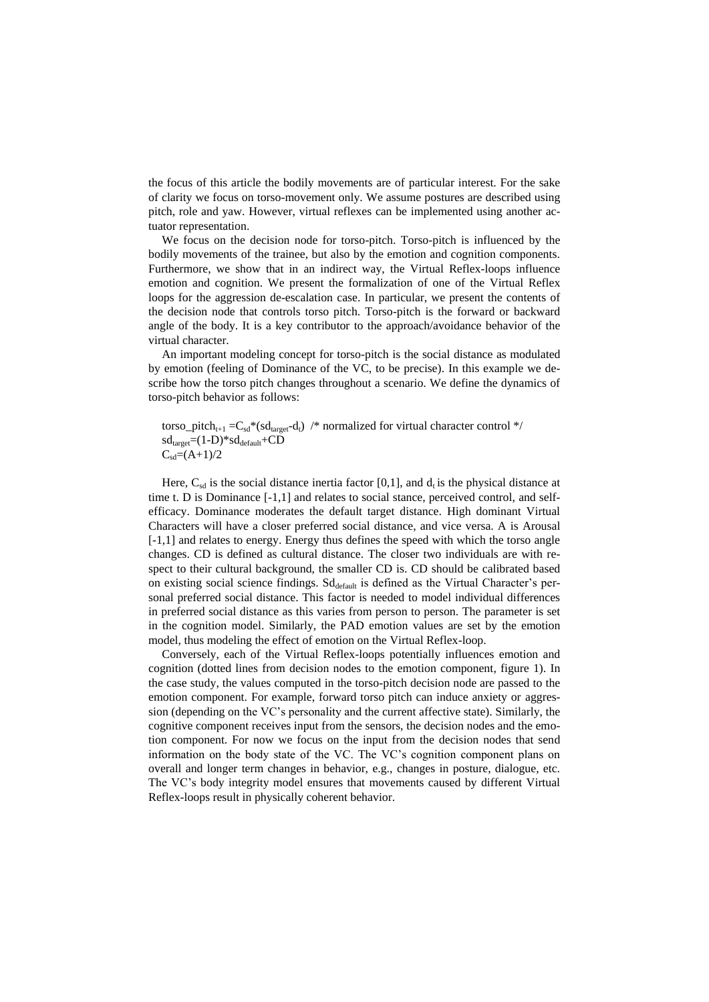the focus of this article the bodily movements are of particular interest. For the sake of clarity we focus on torso-movement only. We assume postures are described using pitch, role and yaw. However, virtual reflexes can be implemented using another actuator representation.

We focus on the decision node for torso-pitch. Torso-pitch is influenced by the bodily movements of the trainee, but also by the emotion and cognition components. Furthermore, we show that in an indirect way, the Virtual Reflex-loops influence emotion and cognition. We present the formalization of one of the Virtual Reflex loops for the aggression de-escalation case. In particular, we present the contents of the decision node that controls torso pitch. Torso-pitch is the forward or backward angle of the body. It is a key contributor to the approach/avoidance behavior of the virtual character.

An important modeling concept for torso-pitch is the social distance as modulated by emotion (feeling of Dominance of the VC, to be precise). In this example we describe how the torso pitch changes throughout a scenario. We define the dynamics of torso-pitch behavior as follows:

torso\_pitch<sub>t+1</sub> = $C_{sd}*(sd_{target}-d_t)$  /\* normalized for virtual character control \*/  $sd_{\text{target}} = (1-D)^* sd_{\text{default}} + CD$  $C_{sd}=(A+1)/2$ 

Here,  $C_{sd}$  is the social distance inertia factor [0,1], and  $d_t$  is the physical distance at time t. D is Dominance [-1,1] and relates to social stance, perceived control, and selfefficacy. Dominance moderates the default target distance. High dominant Virtual Characters will have a closer preferred social distance, and vice versa. A is Arousal [-1,1] and relates to energy. Energy thus defines the speed with which the torso angle changes. CD is defined as cultural distance. The closer two individuals are with respect to their cultural background, the smaller CD is. CD should be calibrated based on existing social science findings.  $Sd_{default}$  is defined as the Virtual Character's personal preferred social distance. This factor is needed to model individual differences in preferred social distance as this varies from person to person. The parameter is set in the cognition model. Similarly, the PAD emotion values are set by the emotion model, thus modeling the effect of emotion on the Virtual Reflex-loop.

Conversely, each of the Virtual Reflex-loops potentially influences emotion and cognition (dotted lines from decision nodes to the emotion component, figure 1). In the case study, the values computed in the torso-pitch decision node are passed to the emotion component. For example, forward torso pitch can induce anxiety or aggression (depending on the VC's personality and the current affective state). Similarly, the cognitive component receives input from the sensors, the decision nodes and the emotion component. For now we focus on the input from the decision nodes that send information on the body state of the VC. The VC's cognition component plans on overall and longer term changes in behavior, e.g., changes in posture, dialogue, etc. The VC's body integrity model ensures that movements caused by different Virtual Reflex-loops result in physically coherent behavior.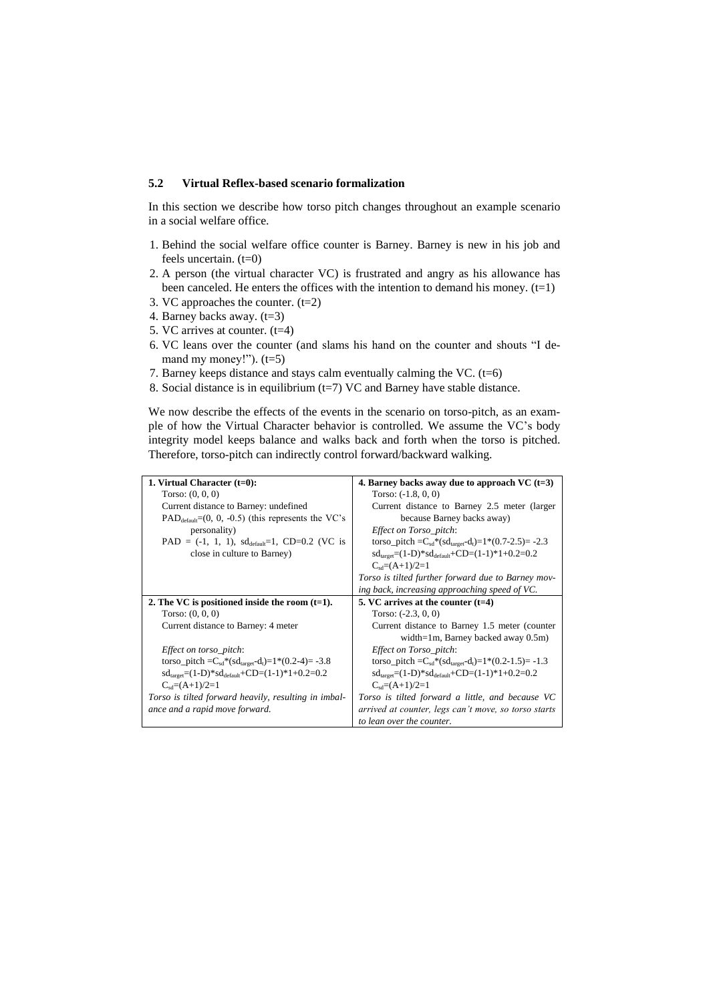#### **5.2 Virtual Reflex-based scenario formalization**

In this section we describe how torso pitch changes throughout an example scenario in a social welfare office.

- 1. Behind the social welfare office counter is Barney. Barney is new in his job and feels uncertain.  $(t=0)$
- 2. A person (the virtual character VC) is frustrated and angry as his allowance has been canceled. He enters the offices with the intention to demand his money.  $(t=1)$
- 3. VC approaches the counter.  $(t=2)$
- 4. Barney backs away. (t=3)
- 5. VC arrives at counter.  $(t=4)$
- 6. VC leans over the counter (and slams his hand on the counter and shouts "I demand my money!").  $(t=5)$
- 7. Barney keeps distance and stays calm eventually calming the VC.  $(t=6)$
- 8. Social distance is in equilibrium (t=7) VC and Barney have stable distance.

We now describe the effects of the events in the scenario on torso-pitch, as an example of how the Virtual Character behavior is controlled. We assume the VC's body integrity model keeps balance and walks back and forth when the torso is pitched. Therefore, torso-pitch can indirectly control forward/backward walking.

| 1. Virtual Character $(t=0)$ :                                                 | 4. Barney backs away due to approach VC $(t=3)$                                |
|--------------------------------------------------------------------------------|--------------------------------------------------------------------------------|
| Torso: $(0, 0, 0)$                                                             | Torso: $(-1.8, 0, 0)$                                                          |
| Current distance to Barney: undefined                                          | Current distance to Barney 2.5 meter (larger                                   |
| $PAD_{default}=(0, 0, -0.5)$ (this represents the VC's                         | because Barney backs away)                                                     |
| personality)                                                                   | Effect on Torso_pitch:                                                         |
| PAD = $(-1, 1, 1)$ , sd <sub>default</sub> =1, CD=0.2 (VC is                   | torso_pitch = $C_{sd}*(sd_{target}-d_t)=1*(0.7-2.5)= -2.3$                     |
| close in culture to Barney)                                                    | $sd_{\text{target}} = (1-D)^* sd_{\text{default}} + CD = (1-1)^*1 + 0.2 = 0.2$ |
|                                                                                | $C_{sd} = (A+1)/2=1$                                                           |
|                                                                                | Torso is tilted further forward due to Barney mov-                             |
|                                                                                | ing back, increasing approaching speed of VC.                                  |
| 2. The VC is positioned inside the room $(t=1)$ .                              | 5. VC arrives at the counter $(t=4)$                                           |
| Torso: $(0, 0, 0)$                                                             | Torso: $(-2.3, 0, 0)$                                                          |
| Current distance to Barney: 4 meter                                            | Current distance to Barney 1.5 meter (counter                                  |
|                                                                                | width=1m, Barney backed away $0.5m$ )                                          |
| Effect on torso_pitch:                                                         | Effect on Torso_pitch:                                                         |
| torso_pitch = $C_{sd}*(sd_{target}-d_t)=1*(0.2-4)= -3.8$                       | torso_pitch = $C_{sd}*(sd_{\text{target}}-d_t)=1*(0.2-1.5)= -1.3$              |
| $sd_{\text{target}} = (1-D)^* sd_{\text{default}} + CD = (1-1)^*1 + 0.2 = 0.2$ | $sd_{\text{target}} = (1-D)^* sd_{\text{default}} + CD = (1-1)^*1 + 0.2 = 0.2$ |
| $C_{sd} = (A+1)/2=1$                                                           | $C_{sd} = (A+1)/2=1$                                                           |
| Torso is tilted forward heavily, resulting in imbal-                           | Torso is tilted forward a little, and because VC                               |
| ance and a rapid move forward.                                                 | arrived at counter, legs can't move, so torso starts                           |
|                                                                                | to lean over the counter.                                                      |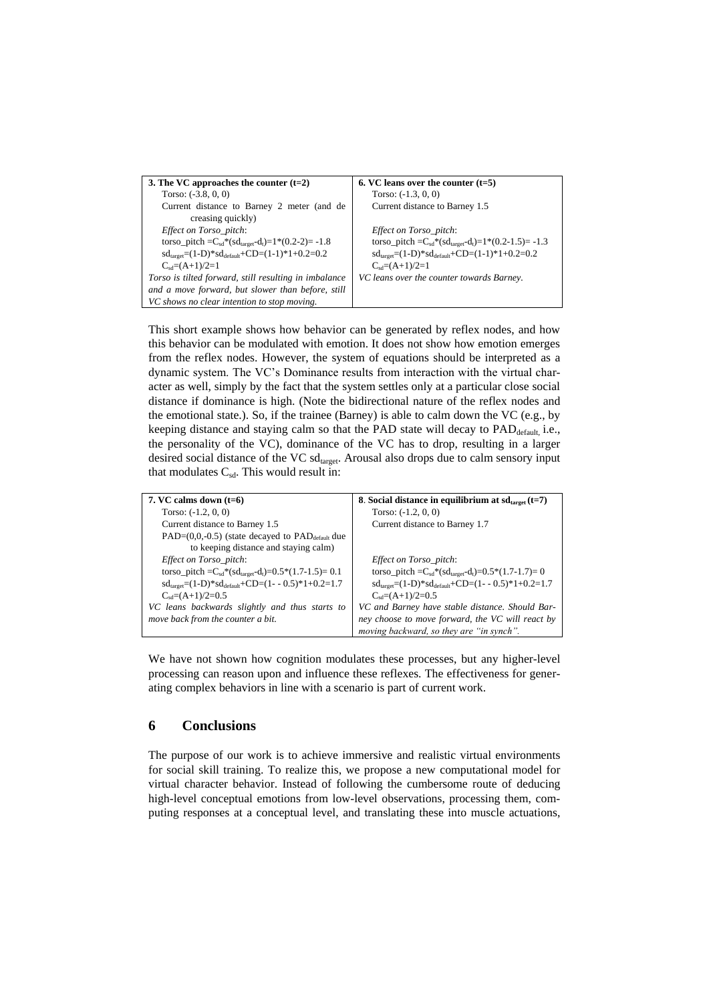| 3. The VC approaches the counter $(t=2)$                                        | 6. VC leans over the counter $(t=5)$                                      |
|---------------------------------------------------------------------------------|---------------------------------------------------------------------------|
| Torso: $(-3.8, 0, 0)$                                                           | Torso: $(-1.3, 0, 0)$                                                     |
| Current distance to Barney 2 meter (and de                                      | Current distance to Barney 1.5                                            |
| creasing quickly)                                                               |                                                                           |
| Effect on Torso_pitch:                                                          | Effect on Torso_pitch:                                                    |
| torso_pitch = $C_{sd}*(sd_{target}-d_t)=1*(0.2-2)= -1.8$                        | torso_pitch = $C_{sd}*(sd_{\text{target}}-d_t)=1*(0.2-1.5)= -1.3$         |
| $sd_{\text{target}} = (1-D) * sd_{\text{default}} + CD = (1-1) * 1 + 0.2 = 0.2$ | $sd_{\text{target}} = (1-D) * sd_{\text{default}} + CD = (1-1)*1+0.2=0.2$ |
| $C_{sd} = (A+1)/2=1$                                                            | $C_{sd} = (A+1)/2=1$                                                      |
| Torso is tilted forward, still resulting in imbalance                           | VC leans over the counter towards Barney.                                 |
| and a move forward, but slower than before, still                               |                                                                           |
| VC shows no clear intention to stop moving.                                     |                                                                           |

This short example shows how behavior can be generated by reflex nodes, and how this behavior can be modulated with emotion. It does not show how emotion emerges from the reflex nodes. However, the system of equations should be interpreted as a dynamic system. The VC's Dominance results from interaction with the virtual character as well, simply by the fact that the system settles only at a particular close social distance if dominance is high. (Note the bidirectional nature of the reflex nodes and the emotional state.). So, if the trainee (Barney) is able to calm down the VC (e.g., by keeping distance and staying calm so that the PAD state will decay to PAD<sub>default,</sub> i.e., the personality of the VC), dominance of the VC has to drop, resulting in a larger desired social distance of the VC sdtarget. Arousal also drops due to calm sensory input that modulates  $C_{sd}$ . This would result in:

| 7. VC calms down $(t=6)$                                                            | 8. Social distance in equilibrium at $sd_{\text{target}}(t=7)$                     |
|-------------------------------------------------------------------------------------|------------------------------------------------------------------------------------|
| Torso: $(-1.2, 0, 0)$                                                               | Torso: $(-1.2, 0, 0)$                                                              |
| Current distance to Barney 1.5                                                      | Current distance to Barney 1.7                                                     |
| $PAD=(0,0,-0.5)$ (state decayed to $PAD_{\text{default}}$ due                       |                                                                                    |
| to keeping distance and staying calm)                                               |                                                                                    |
| Effect on Torso_pitch:                                                              | Effect on Torso_pitch:                                                             |
| torso_pitch = $C_{sd}*(sd_{target}-d_t)$ =0.5*(1.7-1.5)= 0.1                        | torso_pitch = $C_{sd}*(sd_{target}-d_t)=0.5*(1.7-1.7)=0$                           |
| $sd_{\text{target}} = (1-D)^* sd_{\text{default}} + CD = (1 - 0.5)^* 1 + 0.2 = 1.7$ | $sd_{\text{target}} = (1-D)^* sd_{\text{default}} + CD = (1 - 0.5)^*1 + 0.2 = 1.7$ |
| $C_{sd} = (A+1)/2 = 0.5$                                                            | $C_{sd} = (A+1)/2 = 0.5$                                                           |
| VC leans backwards slightly and thus starts to                                      | VC and Barney have stable distance. Should Bar-                                    |
| move back from the counter a bit.                                                   | ney choose to move forward, the VC will react by                                   |
|                                                                                     | moving backward, so they are "in synch".                                           |

We have not shown how cognition modulates these processes, but any higher-level processing can reason upon and influence these reflexes. The effectiveness for generating complex behaviors in line with a scenario is part of current work.

#### **6 Conclusions**

The purpose of our work is to achieve immersive and realistic virtual environments for social skill training. To realize this, we propose a new computational model for virtual character behavior. Instead of following the cumbersome route of deducing high-level conceptual emotions from low-level observations, processing them, computing responses at a conceptual level, and translating these into muscle actuations,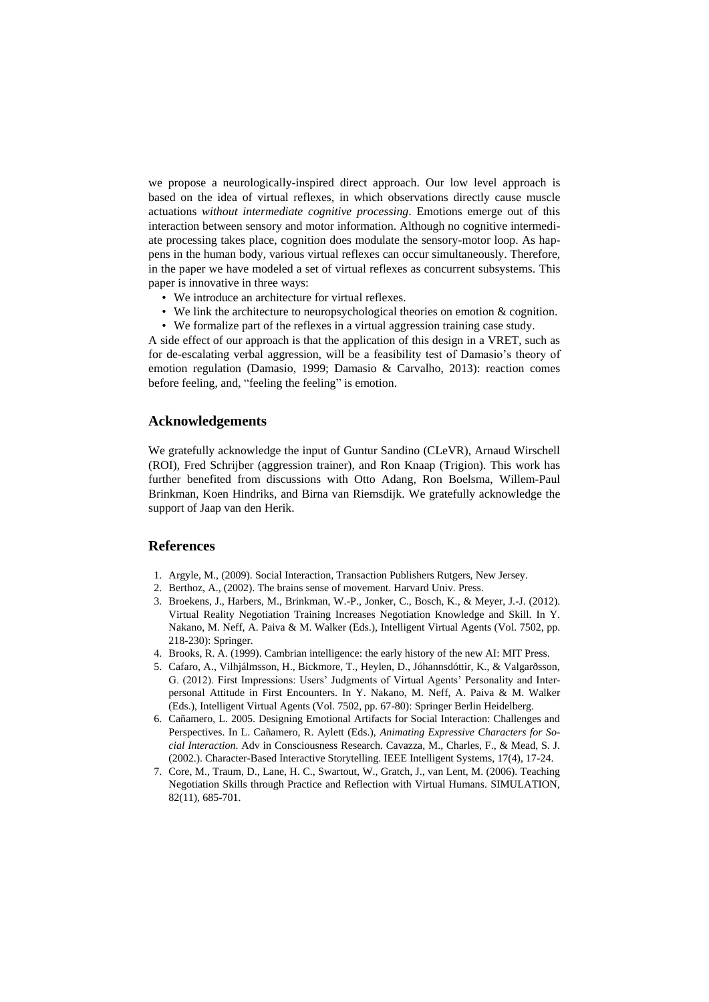we propose a neurologically-inspired direct approach. Our low level approach is based on the idea of virtual reflexes, in which observations directly cause muscle actuations *without intermediate cognitive processing*. Emotions emerge out of this interaction between sensory and motor information. Although no cognitive intermediate processing takes place, cognition does modulate the sensory-motor loop. As happens in the human body, various virtual reflexes can occur simultaneously. Therefore, in the paper we have modeled a set of virtual reflexes as concurrent subsystems. This paper is innovative in three ways:

- We introduce an architecture for virtual reflexes.
- We link the architecture to neuropsychological theories on emotion & cognition.
- We formalize part of the reflexes in a virtual aggression training case study.

A side effect of our approach is that the application of this design in a VRET, such as for de-escalating verbal aggression, will be a feasibility test of Damasio's theory of emotion regulation (Damasio, 1999; Damasio & Carvalho, 2013): reaction comes before feeling, and, "feeling the feeling" is emotion.

#### **Acknowledgements**

We gratefully acknowledge the input of Guntur Sandino (CLeVR), Arnaud Wirschell (ROI), Fred Schrijber (aggression trainer), and Ron Knaap (Trigion). This work has further benefited from discussions with Otto Adang, Ron Boelsma, Willem-Paul Brinkman, Koen Hindriks, and Birna van Riemsdijk. We gratefully acknowledge the support of Jaap van den Herik.

### **References**

- 1. Argyle, M., (2009). Social Interaction, Transaction Publishers Rutgers, New Jersey.
- 2. Berthoz, A., (2002). The brains sense of movement. Harvard Univ. Press.
- 3. Broekens, J., Harbers, M., Brinkman, W.-P., Jonker, C., Bosch, K., & Meyer, J.-J. (2012). Virtual Reality Negotiation Training Increases Negotiation Knowledge and Skill. In Y. Nakano, M. Neff, A. Paiva & M. Walker (Eds.), Intelligent Virtual Agents (Vol. 7502, pp. 218-230): Springer.
- 4. Brooks, R. A. (1999). Cambrian intelligence: the early history of the new AI: MIT Press.
- 5. Cafaro, A., Vilhjálmsson, H., Bickmore, T., Heylen, D., Jóhannsdóttir, K., & Valgarðsson, G. (2012). First Impressions: Users' Judgments of Virtual Agents' Personality and Interpersonal Attitude in First Encounters. In Y. Nakano, M. Neff, A. Paiva & M. Walker (Eds.), Intelligent Virtual Agents (Vol. 7502, pp. 67-80): Springer Berlin Heidelberg.
- 6. Cañamero, L. 2005. Designing Emotional Artifacts for Social Interaction: Challenges and Perspectives. In L. Cañamero, R. Aylett (Eds.), *Animating Expressive Characters for Social Interaction*. Adv in Consciousness Research. Cavazza, M., Charles, F., & Mead, S. J. (2002.). Character-Based Interactive Storytelling. IEEE Intelligent Systems, 17(4), 17-24.
- 7. Core, M., Traum, D., Lane, H. C., Swartout, W., Gratch, J., van Lent, M. (2006). Teaching Negotiation Skills through Practice and Reflection with Virtual Humans. SIMULATION, 82(11), 685-701.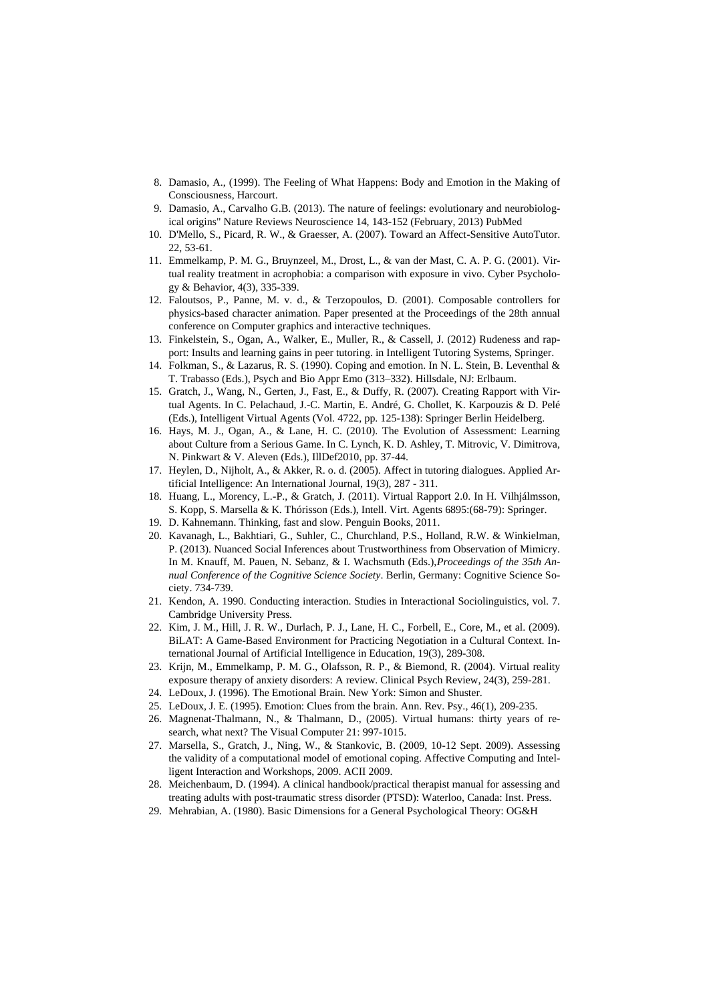- 8. Damasio, A., (1999). The Feeling of What Happens: Body and Emotion in the Making of Consciousness, Harcourt.
- 9. Damasio, A., Carvalho G.B. (2013). The nature of feelings: evolutionary and neurobiological origins" Nature Reviews Neuroscience 14, 143-152 (February, 2013) PubMed
- 10. D'Mello, S., Picard, R. W., & Graesser, A. (2007). Toward an Affect-Sensitive AutoTutor. 22, 53-61.
- 11. Emmelkamp, P. M. G., Bruynzeel, M., Drost, L., & van der Mast, C. A. P. G. (2001). Virtual reality treatment in acrophobia: a comparison with exposure in vivo. Cyber Psychology & Behavior, 4(3), 335-339.
- 12. Faloutsos, P., Panne, M. v. d., & Terzopoulos, D. (2001). Composable controllers for physics-based character animation. Paper presented at the Proceedings of the 28th annual conference on Computer graphics and interactive techniques.
- 13. Finkelstein, S., Ogan, A., Walker, E., Muller, R., & Cassell, J. (2012) Rudeness and rapport: Insults and learning gains in peer tutoring. in Intelligent Tutoring Systems, Springer.
- 14. Folkman, S., & Lazarus, R. S. (1990). Coping and emotion. In N. L. Stein, B. Leventhal & T. Trabasso (Eds.), Psych and Bio Appr Emo (313–332). Hillsdale, NJ: Erlbaum.
- 15. Gratch, J., Wang, N., Gerten, J., Fast, E., & Duffy, R. (2007). Creating Rapport with Virtual Agents. In C. Pelachaud, J.-C. Martin, E. André, G. Chollet, K. Karpouzis & D. Pelé (Eds.), Intelligent Virtual Agents (Vol. 4722, pp. 125-138): Springer Berlin Heidelberg.
- 16. Hays, M. J., Ogan, A., & Lane, H. C. (2010). The Evolution of Assessment: Learning about Culture from a Serious Game. In C. Lynch, K. D. Ashley, T. Mitrovic, V. Dimitrova, N. Pinkwart & V. Aleven (Eds.), IllDef2010, pp. 37-44.
- 17. Heylen, D., Nijholt, A., & Akker, R. o. d. (2005). Affect in tutoring dialogues. Applied Artificial Intelligence: An International Journal, 19(3), 287 - 311.
- 18. Huang, L., Morency, L.-P., & Gratch, J. (2011). Virtual Rapport 2.0. In H. Vilhjálmsson, S. Kopp, S. Marsella & K. Thórisson (Eds.), Intell. Virt. Agents 6895:(68-79): Springer.
- 19. D. Kahnemann. Thinking, fast and slow. Penguin Books, 2011.
- 20. Kavanagh, L., Bakhtiari, G., Suhler, C., Churchland, P.S., Holland, R.W. & Winkielman, P. (2013). Nuanced Social Inferences about Trustworthiness from Observation of Mimicry. In M. Knauff, M. Pauen, N. Sebanz, & I. Wachsmuth (Eds.),*Proceedings of the 35th Annual Conference of the Cognitive Science Society*. Berlin, Germany: Cognitive Science Society. 734-739.
- 21. Kendon, A. 1990. Conducting interaction. Studies in Interactional Sociolinguistics, vol. 7. Cambridge University Press.
- 22. Kim, J. M., Hill, J. R. W., Durlach, P. J., Lane, H. C., Forbell, E., Core, M., et al. (2009). BiLAT: A Game-Based Environment for Practicing Negotiation in a Cultural Context. International Journal of Artificial Intelligence in Education, 19(3), 289-308.
- 23. Krijn, M., Emmelkamp, P. M. G., Olafsson, R. P., & Biemond, R. (2004). Virtual reality exposure therapy of anxiety disorders: A review. Clinical Psych Review, 24(3), 259-281.
- 24. LeDoux, J. (1996). The Emotional Brain. New York: Simon and Shuster.
- 25. LeDoux, J. E. (1995). Emotion: Clues from the brain. Ann. Rev. Psy., 46(1), 209-235.
- 26. Magnenat-Thalmann, N., & Thalmann, D., (2005). Virtual humans: thirty years of research, what next? The Visual Computer 21: 997-1015.
- 27. Marsella, S., Gratch, J., Ning, W., & Stankovic, B. (2009, 10-12 Sept. 2009). Assessing the validity of a computational model of emotional coping. Affective Computing and Intelligent Interaction and Workshops, 2009. ACII 2009.
- 28. Meichenbaum, D. (1994). A clinical handbook/practical therapist manual for assessing and treating adults with post-traumatic stress disorder (PTSD): Waterloo, Canada: Inst. Press.
- 29. Mehrabian, A. (1980). Basic Dimensions for a General Psychological Theory: OG&H